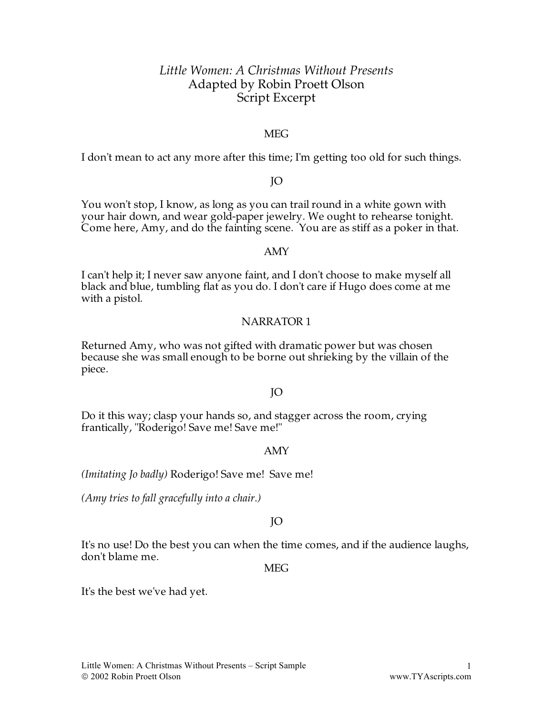# *Little Women: A Christmas Without Presents* Adapted by Robin Proett Olson Script Excerpt

### **MEG**

I don't mean to act any more after this time; I'm getting too old for such things.

#### JO

You won't stop, I know, as long as you can trail round in a white gown with your hair down, and wear gold-paper jewelry. We ought to rehearse tonight. Come here, Amy, and do the fainting scene. You are as stiff as a poker in that.

#### AMY

I can't help it; I never saw anyone faint, and I don't choose to make myself all black and blue, tumbling flat as you do. I don't care if Hugo does come at me with a pistol.

### NARRATOR 1

Returned Amy, who was not gifted with dramatic power but was chosen because she was small enough to be borne out shrieking by the villain of the piece.

### JO

Do it this way; clasp your hands so, and stagger across the room, crying frantically, "Roderigo! Save me! Save me!"

### AMY

*(Imitating Jo badly)* Roderigo! Save me! Save me!

*(Amy tries to fall gracefully into a chair.)*

### JO

It's no use! Do the best you can when the time comes, and if the audience laughs, don't blame me.

#### **MEG**

It's the best we've had yet.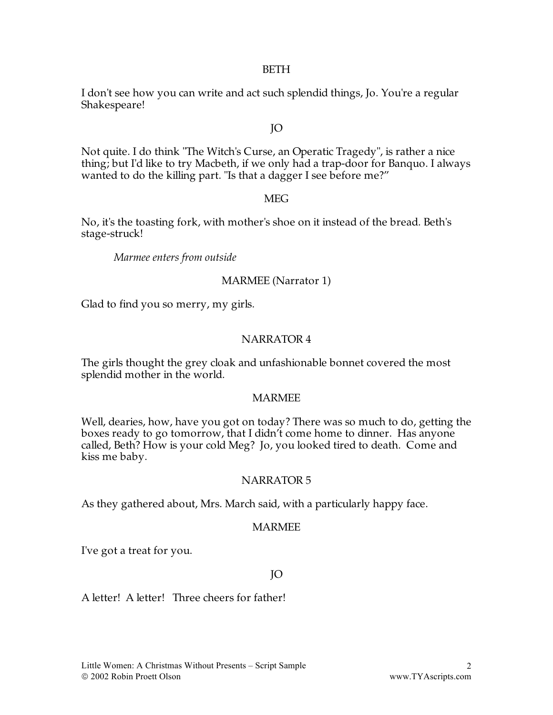### **BETH**

I don't see how you can write and act such splendid things, Jo. You're a regular Shakespeare!

### JO

Not quite. I do think "The Witch's Curse, an Operatic Tragedy", is rather a nice thing; but I'd like to try Macbeth, if we only had a trap-door for Banquo. I always wanted to do the killing part. "Is that a dagger I see before me?"

#### MEG

No, it's the toasting fork, with mother's shoe on it instead of the bread. Beth's stage-struck!

*Marmee enters from outside*

### MARMEE (Narrator 1)

Glad to find you so merry, my girls.

### NARRATOR 4

The girls thought the grey cloak and unfashionable bonnet covered the most splendid mother in the world.

### MARMEE

Well, dearies, how, have you got on today? There was so much to do, getting the boxes ready to go tomorrow, that I didn't come home to dinner. Has anyone called, Beth? How is your cold Meg? Jo, you looked tired to death. Come and kiss me baby.

### NARRATOR 5

As they gathered about, Mrs. March said, with a particularly happy face.

### MARMEE

I've got a treat for you.

#### JO

A letter! A letter! Three cheers for father!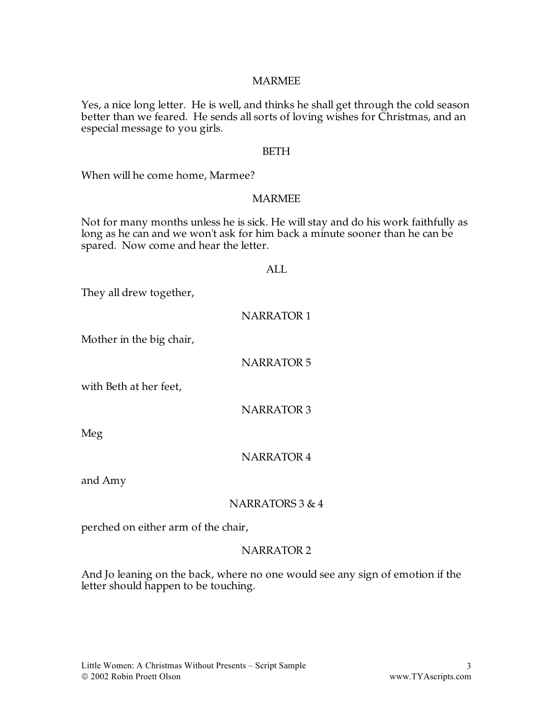### MARMEE

Yes, a nice long letter. He is well, and thinks he shall get through the cold season better than we feared. He sends all sorts of loving wishes for Christmas, and an especial message to you girls.

### **BETH**

When will he come home, Marmee?

## MARMEE

Not for many months unless he is sick. He will stay and do his work faithfully as long as he can and we won't ask for him back a minute sooner than he can be spared. Now come and hear the letter.

#### ALL

They all drew together,

## NARRATOR 1

Mother in the big chair,

## NARRATOR 5

with Beth at her feet,

NARRATOR 3

Meg

# NARRATOR 4

and Amy

## NARRATORS 3 & 4

perched on either arm of the chair,

# NARRATOR 2

And Jo leaning on the back, where no one would see any sign of emotion if the letter should happen to be touching.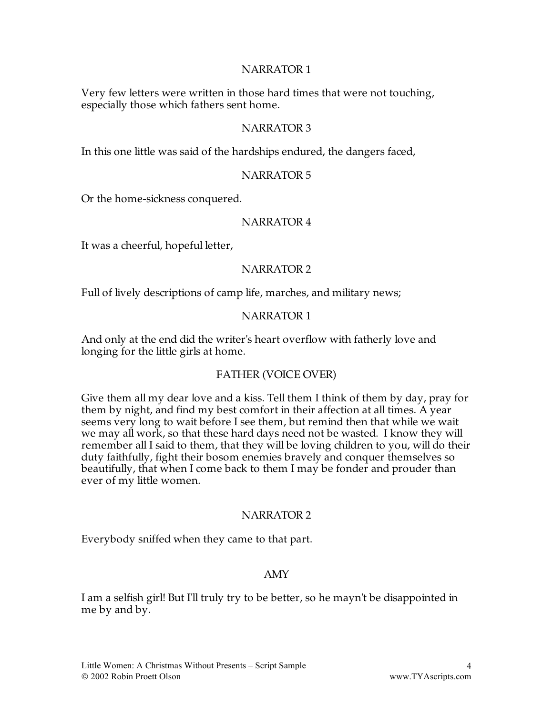## NARRATOR 1

Very few letters were written in those hard times that were not touching, especially those which fathers sent home.

## NARRATOR 3

In this one little was said of the hardships endured, the dangers faced,

### NARRATOR 5

Or the home-sickness conquered.

### NARRATOR 4

It was a cheerful, hopeful letter,

## NARRATOR 2

Full of lively descriptions of camp life, marches, and military news;

## NARRATOR 1

And only at the end did the writer's heart overflow with fatherly love and longing for the little girls at home.

## FATHER (VOICE OVER)

Give them all my dear love and a kiss. Tell them I think of them by day, pray for them by night, and find my best comfort in their affection at all times. A year seems very long to wait before I see them, but remind then that while we wait we may all work, so that these hard days need not be wasted. I know they will remember all I said to them, that they will be loving children to you, will do their duty faithfully, fight their bosom enemies bravely and conquer themselves so beautifully, that when I come back to them I may be fonder and prouder than ever of my little women.

## NARRATOR 2

Everybody sniffed when they came to that part.

## AMY

I am a selfish girl! But I'll truly try to be better, so he mayn't be disappointed in me by and by.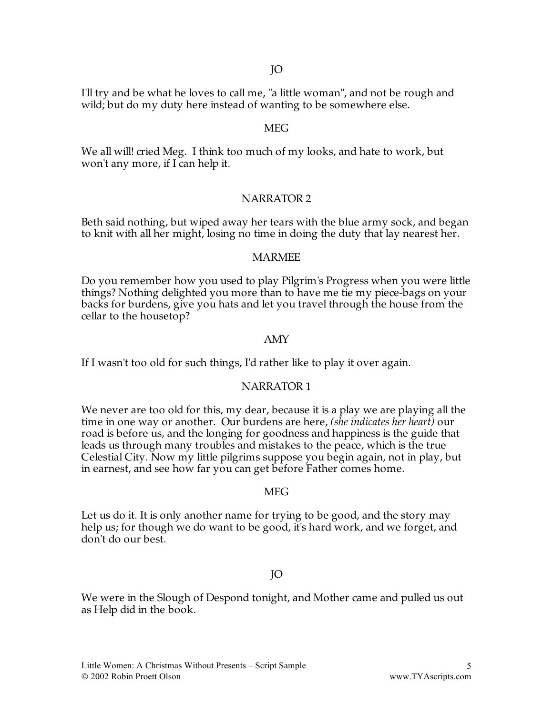I'll try and be what he loves to call me, "a little woman", and not be rough and wild; but do my duty here instead of wanting to be somewhere else.

### **MEG**

We all will! cried Meg. I think too much of my looks, and hate to work, but won't any more, if I can help it.

### NARRATOR 2

Beth said nothing, but wiped away her tears with the blue army sock, and began to knit with all her might, losing no time in doing the duty that lay nearest her.

#### MARMEE

Do you remember how you used to play Pilgrim's Progress when you were little things? Nothing delighted you more than to have me tie my piece-bags on your backs for burdens, give you hats and let you travel through the house from the cellar to the housetop?

#### AMY

If I wasn't too old for such things, I'd rather like to play it over again.

#### NARRATOR 1

We never are too old for this, my dear, because it is a play we are playing all the time in one way or another. Our burdens are here, *(she indicates her heart)* our road is before us, and the longing for goodness and happiness is the guide that leads us through many troubles and mistakes to the peace, which is the true Celestial City. Now my little pilgrims suppose you begin again, not in play, but in earnest, and see how far you can get before Father comes home.

#### **MEG**

Let us do it. It is only another name for trying to be good, and the story may help us; for though we do want to be good, it's hard work, and we forget, and don't do our best.

### JO

We were in the Slough of Despond tonight, and Mother came and pulled us out as Help did in the book.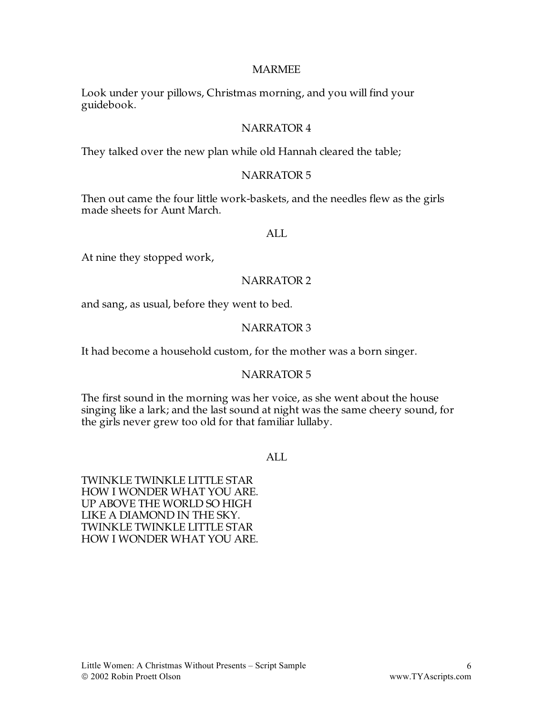### MARMEE

Look under your pillows, Christmas morning, and you will find your guidebook.

### NARRATOR 4

They talked over the new plan while old Hannah cleared the table;

### NARRATOR 5

Then out came the four little work-baskets, and the needles flew as the girls made sheets for Aunt March.

#### ALL

At nine they stopped work,

### NARRATOR 2

and sang, as usual, before they went to bed.

## NARRATOR 3

It had become a household custom, for the mother was a born singer.

### NARRATOR 5

The first sound in the morning was her voice, as she went about the house singing like a lark; and the last sound at night was the same cheery sound, for the girls never grew too old for that familiar lullaby.

ALL

TWINKLE TWINKLE LITTLE STAR HOW I WONDER WHAT YOU ARE. UP ABOVE THE WORLD SO HIGH LIKE A DIAMOND IN THE SKY. TWINKLE TWINKLE LITTLE STAR HOW I WONDER WHAT YOU ARE.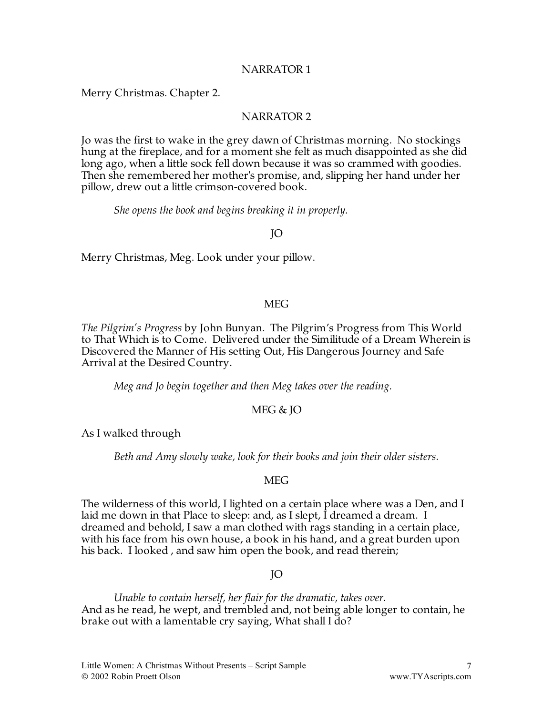### NARRATOR 1

Merry Christmas. Chapter 2.

### NARRATOR 2

Jo was the first to wake in the grey dawn of Christmas morning. No stockings hung at the fireplace, and for a moment she felt as much disappointed as she did long ago, when a little sock fell down because it was so crammed with goodies. Then she remembered her mother's promise, and, slipping her hand under her pillow, drew out a little crimson-covered book.

*She opens the book and begins breaking it in properly.*

JO

Merry Christmas, Meg. Look under your pillow.

#### **MEG**

*The Pilgrim's Progress* by John Bunyan. The Pilgrim's Progress from This World to That Which is to Come. Delivered under the Similitude of a Dream Wherein is Discovered the Manner of His setting Out, His Dangerous Journey and Safe Arrival at the Desired Country.

*Meg and Jo begin together and then Meg takes over the reading.*

### MEG & JO

As I walked through

*Beth and Amy slowly wake, look for their books and join their older sisters.*

### MEG

The wilderness of this world, I lighted on a certain place where was a Den, and I laid me down in that Place to sleep: and, as I slept, I dreamed a dream. I dreamed and behold, I saw a man clothed with rags standing in a certain place, with his face from his own house, a book in his hand, and a great burden upon his back. I looked , and saw him open the book, and read therein;

### JO

*Unable to contain herself, her flair for the dramatic, takes over.*  And as he read, he wept, and trembled and, not being able longer to contain, he brake out with a lamentable cry saying, What shall I do?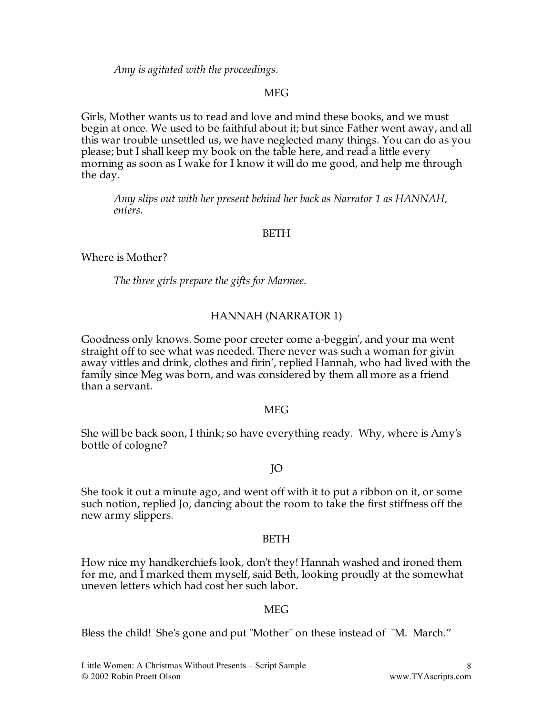*Amy is agitated with the proceedings.*

# **MEG**

Girls, Mother wants us to read and love and mind these books, and we must begin at once. We used to be faithful about it; but since Father went away, and all this war trouble unsettled us, we have neglected many things. You can do as you please; but I shall keep my book on the table here, and read a little every morning as soon as I wake for I know it will do me good, and help me through the day.

*Amy slips out with her present behind her back as Narrator 1 as HANNAH, enters.*

## BETH

Where is Mother?

*The three girls prepare the gifts for Marmee.*

# HANNAH (NARRATOR 1)

Goodness only knows. Some poor creeter come a-beggin', and your ma went straight off to see what was needed. There never was such a woman for givin away vittles and drink, clothes and firin', replied Hannah, who had lived with the family since Meg was born, and was considered by them all more as a friend than a servant.

## MEG

She will be back soon, I think; so have everything ready. Why, where is Amy's bottle of cologne?

### JO

She took it out a minute ago, and went off with it to put a ribbon on it, or some such notion, replied Jo, dancing about the room to take the first stiffness off the new army slippers.

## **BETH**

How nice my handkerchiefs look, don't they! Hannah washed and ironed them for me, and I marked them myself, said Beth, looking proudly at the somewhat uneven letters which had cost her such labor.

## **MEG**

Bless the child! She's gone and put "Mother" on these instead of "M. March."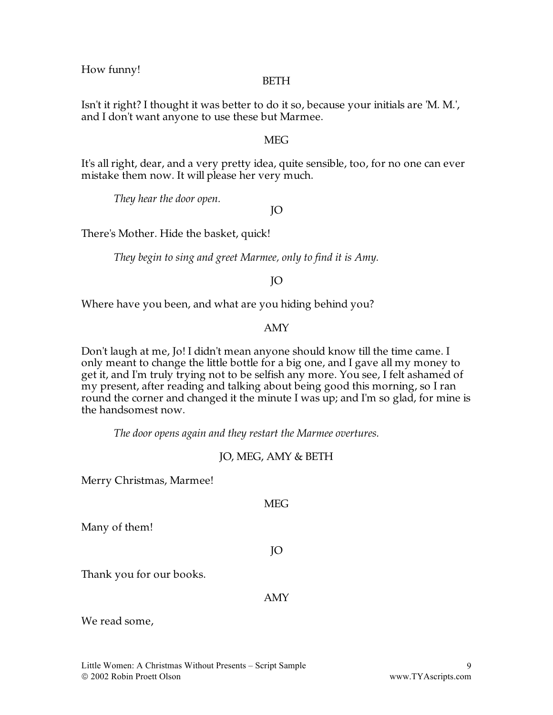How funny!

#### **BETH**

Isn't it right? I thought it was better to do it so, because your initials are 'M. M.', and I don't want anyone to use these but Marmee.

### MEG

It's all right, dear, and a very pretty idea, quite sensible, too, for no one can ever mistake them now. It will please her very much.

*They hear the door open.*

### JO

There's Mother. Hide the basket, quick!

*They begin to sing and greet Marmee, only to find it is Amy.*

### JO

Where have you been, and what are you hiding behind you?

### AMY

Don't laugh at me, Jo! I didn't mean anyone should know till the time came. I only meant to change the little bottle for a big one, and I gave all my money to get it, and I'm truly trying not to be selfish any more. You see, I felt ashamed of my present, after reading and talking about being good this morning, so I ran round the corner and changed it the minute I was up; and I'm so glad, for mine is the handsomest now.

*The door opens again and they restart the Marmee overtures.*

## JO, MEG, AMY & BETH

Merry Christmas, Marmee!

# **MEG**

Many of them!

JO

Thank you for our books.

AMY

We read some,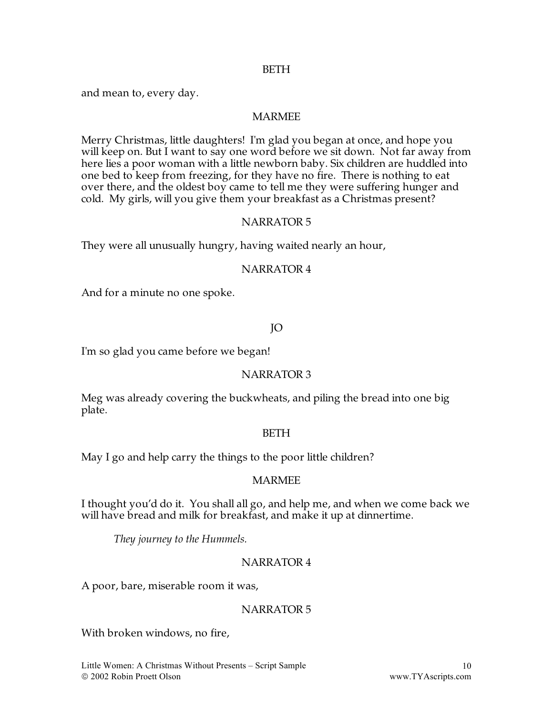#### **BETH**

and mean to, every day.

### MARMEE

Merry Christmas, little daughters! I'm glad you began at once, and hope you will keep on. But I want to say one word before we sit down. Not far away from here lies a poor woman with a little newborn baby. Six children are huddled into one bed to keep from freezing, for they have no fire. There is nothing to eat over there, and the oldest boy came to tell me they were suffering hunger and cold. My girls, will you give them your breakfast as a Christmas present?

#### NARRATOR 5

They were all unusually hungry, having waited nearly an hour,

#### NARRATOR 4

And for a minute no one spoke.

### JO

I'm so glad you came before we began!

### NARRATOR 3

Meg was already covering the buckwheats, and piling the bread into one big plate.

#### BETH

May I go and help carry the things to the poor little children?

### MARMEE

I thought you'd do it. You shall all go, and help me, and when we come back we will have bread and milk for breakfast, and make it up at dinnertime.

*They journey to the Hummels.*

### NARRATOR 4

A poor, bare, miserable room it was,

### NARRATOR 5

With broken windows, no fire,